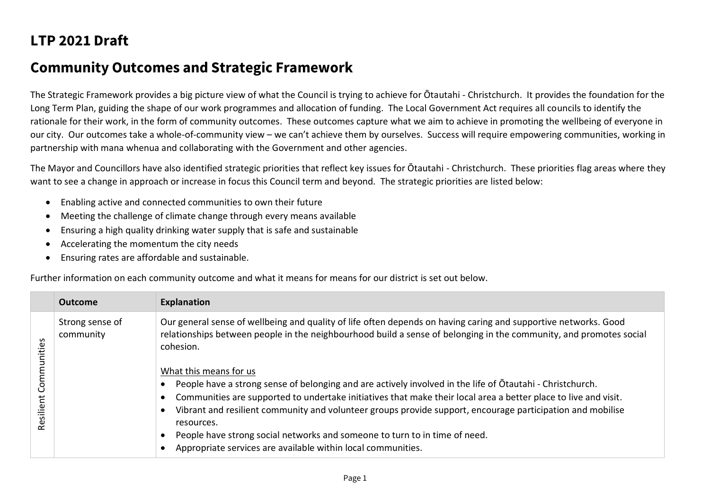## **LTP 2021 Draft**

## **Community Outcomes and Strategic Framework**

The Strategic Framework provides a big picture view of what the Council is trying to achieve for Ōtautahi - Christchurch. It provides the foundation for the Long Term Plan, guiding the shape of our work programmes and allocation of funding. The Local Government Act requires all councils to identify the rationale for their work, in the form of community outcomes. These outcomes capture what we aim to achieve in promoting the wellbeing of everyone in our city. Our outcomes take a whole-of-community view – we can't achieve them by ourselves. Success will require empowering communities, working in partnership with mana whenua and collaborating with the Government and other agencies.

The Mayor and Councillors have also identified strategic priorities that reflect key issues for Ōtautahi - Christchurch. These priorities flag areas where they want to see a change in approach or increase in focus this Council term and beyond. The strategic priorities are listed below:

- Enabling active and connected communities to own their future
- Meeting the challenge of climate change through every means available
- Ensuring a high quality drinking water supply that is safe and sustainable
- Accelerating the momentum the city needs
- Ensuring rates are affordable and sustainable.

Further information on each community outcome and what it means for means for our district is set out below.

| Our general sense of wellbeing and quality of life often depends on having caring and supportive networks. Good<br>Strong sense of<br>relationships between people in the neighbourhood build a sense of belonging in the community, and promotes social<br>community<br>ities<br>cohesion.<br>What this means for us                                                                                                                                                                                                                   |  |
|-----------------------------------------------------------------------------------------------------------------------------------------------------------------------------------------------------------------------------------------------------------------------------------------------------------------------------------------------------------------------------------------------------------------------------------------------------------------------------------------------------------------------------------------|--|
| Com<br>People have a strong sense of belonging and are actively involved in the life of Otautahi - Christchurch.<br>Communities are supported to undertake initiatives that make their local area a better place to live and visit.<br>Resilient<br>$\bullet$<br>Vibrant and resilient community and volunteer groups provide support, encourage participation and mobilise<br>resources.<br>People have strong social networks and someone to turn to in time of need.<br>Appropriate services are available within local communities. |  |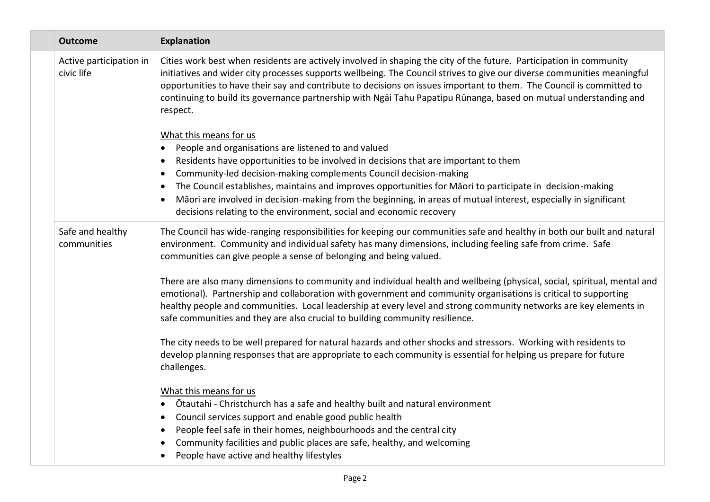|  | <b>Outcome</b>                        | <b>Explanation</b>                                                                                                                                                                                                                                                                                                                                                                                                                                                                                                                                                                                                                                                                                                                                                                                                                                                                                                                                                                                                                                                                                                                                                                                                                                                                                                                                                                                                   |
|--|---------------------------------------|----------------------------------------------------------------------------------------------------------------------------------------------------------------------------------------------------------------------------------------------------------------------------------------------------------------------------------------------------------------------------------------------------------------------------------------------------------------------------------------------------------------------------------------------------------------------------------------------------------------------------------------------------------------------------------------------------------------------------------------------------------------------------------------------------------------------------------------------------------------------------------------------------------------------------------------------------------------------------------------------------------------------------------------------------------------------------------------------------------------------------------------------------------------------------------------------------------------------------------------------------------------------------------------------------------------------------------------------------------------------------------------------------------------------|
|  | Active participation in<br>civic life | Cities work best when residents are actively involved in shaping the city of the future. Participation in community<br>initiatives and wider city processes supports wellbeing. The Council strives to give our diverse communities meaningful<br>opportunities to have their say and contribute to decisions on issues important to them. The Council is committed to<br>continuing to build its governance partnership with Ngai Tahu Papatipu Rūnanga, based on mutual understanding and<br>respect.<br>What this means for us<br>People and organisations are listened to and valued<br>$\bullet$<br>Residents have opportunities to be involved in decisions that are important to them<br>$\bullet$<br>Community-led decision-making complements Council decision-making<br>The Council establishes, maintains and improves opportunities for Māori to participate in decision-making<br>$\bullet$<br>Māori are involved in decision-making from the beginning, in areas of mutual interest, especially in significant<br>decisions relating to the environment, social and economic recovery                                                                                                                                                                                                                                                                                                                  |
|  | Safe and healthy<br>communities       | The Council has wide-ranging responsibilities for keeping our communities safe and healthy in both our built and natural<br>environment. Community and individual safety has many dimensions, including feeling safe from crime. Safe<br>communities can give people a sense of belonging and being valued.<br>There are also many dimensions to community and individual health and wellbeing (physical, social, spiritual, mental and<br>emotional). Partnership and collaboration with government and community organisations is critical to supporting<br>healthy people and communities. Local leadership at every level and strong community networks are key elements in<br>safe communities and they are also crucial to building community resilience.<br>The city needs to be well prepared for natural hazards and other shocks and stressors. Working with residents to<br>develop planning responses that are appropriate to each community is essential for helping us prepare for future<br>challenges.<br>What this means for us<br>Ōtautahi - Christchurch has a safe and healthy built and natural environment<br>Council services support and enable good public health<br>$\bullet$<br>People feel safe in their homes, neighbourhoods and the central city<br>$\bullet$<br>Community facilities and public places are safe, healthy, and welcoming<br>People have active and healthy lifestyles |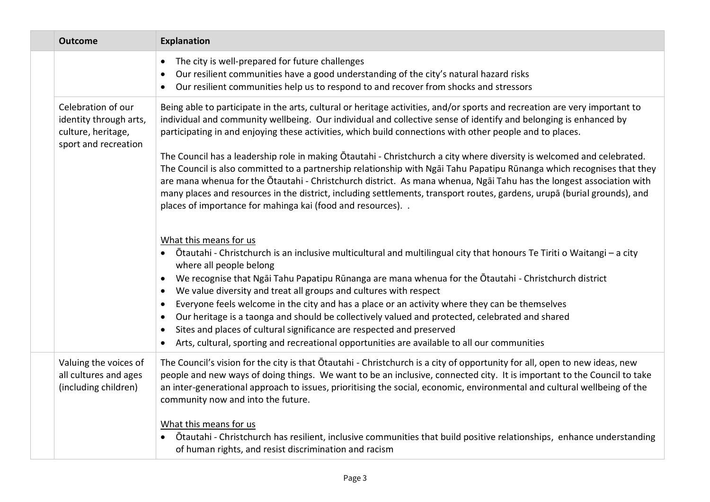|  | <b>Outcome</b>                                                                             | <b>Explanation</b>                                                                                                                                                                                                                                                                                                                                                                                                                                                                                                                                                                                                                                                                                                                                                  |
|--|--------------------------------------------------------------------------------------------|---------------------------------------------------------------------------------------------------------------------------------------------------------------------------------------------------------------------------------------------------------------------------------------------------------------------------------------------------------------------------------------------------------------------------------------------------------------------------------------------------------------------------------------------------------------------------------------------------------------------------------------------------------------------------------------------------------------------------------------------------------------------|
|  |                                                                                            | The city is well-prepared for future challenges<br>$\bullet$<br>Our resilient communities have a good understanding of the city's natural hazard risks<br>Our resilient communities help us to respond to and recover from shocks and stressors                                                                                                                                                                                                                                                                                                                                                                                                                                                                                                                     |
|  | Celebration of our<br>identity through arts,<br>culture, heritage,<br>sport and recreation | Being able to participate in the arts, cultural or heritage activities, and/or sports and recreation are very important to<br>individual and community wellbeing. Our individual and collective sense of identify and belonging is enhanced by<br>participating in and enjoying these activities, which build connections with other people and to places.                                                                                                                                                                                                                                                                                                                                                                                                          |
|  |                                                                                            | The Council has a leadership role in making Otautahi - Christchurch a city where diversity is welcomed and celebrated.<br>The Council is also committed to a partnership relationship with Ngai Tahu Papatipu Rūnanga which recognises that they<br>are mana whenua for the Otautahi - Christchurch district. As mana whenua, Ngai Tahu has the longest association with<br>many places and resources in the district, including settlements, transport routes, gardens, urupā (burial grounds), and<br>places of importance for mahinga kai (food and resources). .                                                                                                                                                                                                |
|  |                                                                                            | What this means for us<br>• Ōtautahi - Christchurch is an inclusive multicultural and multilingual city that honours Te Tiriti o Waitangi – a city<br>where all people belong<br>We recognise that Ngai Tahu Papatipu Rūnanga are mana whenua for the Ōtautahi - Christchurch district<br>$\bullet$<br>We value diversity and treat all groups and cultures with respect<br>$\bullet$<br>Everyone feels welcome in the city and has a place or an activity where they can be themselves<br>Our heritage is a taonga and should be collectively valued and protected, celebrated and shared<br>Sites and places of cultural significance are respected and preserved<br>Arts, cultural, sporting and recreational opportunities are available to all our communities |
|  | Valuing the voices of<br>all cultures and ages<br>(including children)                     | The Council's vision for the city is that Otautahi - Christchurch is a city of opportunity for all, open to new ideas, new<br>people and new ways of doing things. We want to be an inclusive, connected city. It is important to the Council to take<br>an inter-generational approach to issues, prioritising the social, economic, environmental and cultural wellbeing of the<br>community now and into the future.<br>What this means for us<br>Ōtautahi - Christchurch has resilient, inclusive communities that build positive relationships, enhance understanding<br>of human rights, and resist discrimination and racism                                                                                                                                 |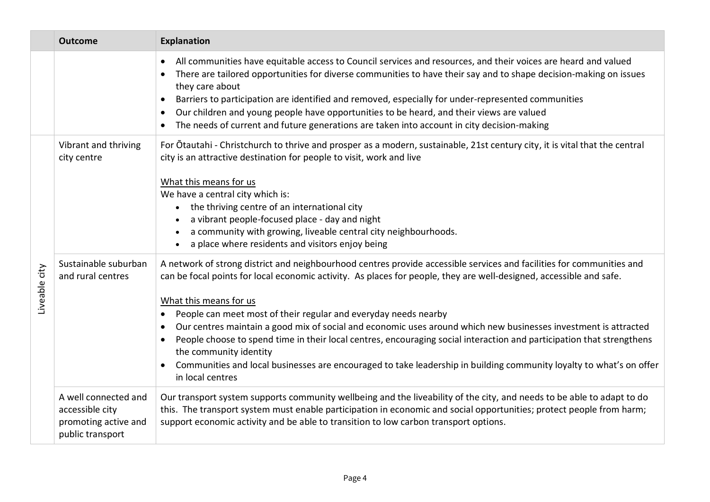|               | <b>Outcome</b>                                                                      | <b>Explanation</b>                                                                                                                                                                                                                                                                                                                                                                                                                                                                                                                                                                                                                                                                                                                                         |
|---------------|-------------------------------------------------------------------------------------|------------------------------------------------------------------------------------------------------------------------------------------------------------------------------------------------------------------------------------------------------------------------------------------------------------------------------------------------------------------------------------------------------------------------------------------------------------------------------------------------------------------------------------------------------------------------------------------------------------------------------------------------------------------------------------------------------------------------------------------------------------|
|               |                                                                                     | All communities have equitable access to Council services and resources, and their voices are heard and valued<br>There are tailored opportunities for diverse communities to have their say and to shape decision-making on issues<br>they care about<br>Barriers to participation are identified and removed, especially for under-represented communities<br>Our children and young people have opportunities to be heard, and their views are valued<br>The needs of current and future generations are taken into account in city decision-making                                                                                                                                                                                                     |
| Liveable city | Vibrant and thriving<br>city centre                                                 | For Otautahi - Christchurch to thrive and prosper as a modern, sustainable, 21st century city, it is vital that the central<br>city is an attractive destination for people to visit, work and live<br>What this means for us<br>We have a central city which is:<br>• the thriving centre of an international city<br>a vibrant people-focused place - day and night<br>a community with growing, liveable central city neighbourhoods.<br>a place where residents and visitors enjoy being                                                                                                                                                                                                                                                               |
|               | Sustainable suburban<br>and rural centres                                           | A network of strong district and neighbourhood centres provide accessible services and facilities for communities and<br>can be focal points for local economic activity. As places for people, they are well-designed, accessible and safe.<br>What this means for us<br>People can meet most of their regular and everyday needs nearby<br>Our centres maintain a good mix of social and economic uses around which new businesses investment is attracted<br>People choose to spend time in their local centres, encouraging social interaction and participation that strengthens<br>the community identity<br>Communities and local businesses are encouraged to take leadership in building community loyalty to what's on offer<br>in local centres |
|               | A well connected and<br>accessible city<br>promoting active and<br>public transport | Our transport system supports community wellbeing and the liveability of the city, and needs to be able to adapt to do<br>this. The transport system must enable participation in economic and social opportunities; protect people from harm;<br>support economic activity and be able to transition to low carbon transport options.                                                                                                                                                                                                                                                                                                                                                                                                                     |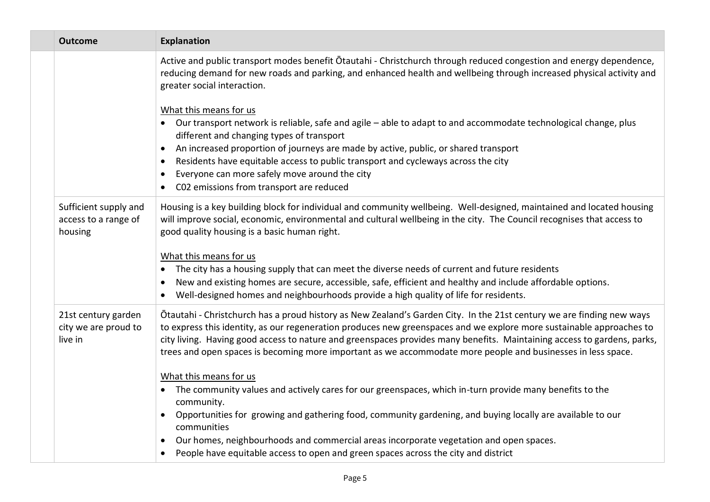| <b>Outcome</b>                                           | <b>Explanation</b>                                                                                                                                                                                                                                                                                                                                                                                                                                                                       |
|----------------------------------------------------------|------------------------------------------------------------------------------------------------------------------------------------------------------------------------------------------------------------------------------------------------------------------------------------------------------------------------------------------------------------------------------------------------------------------------------------------------------------------------------------------|
|                                                          | Active and public transport modes benefit Otautahi - Christchurch through reduced congestion and energy dependence,<br>reducing demand for new roads and parking, and enhanced health and wellbeing through increased physical activity and<br>greater social interaction.<br>What this means for us                                                                                                                                                                                     |
|                                                          | Our transport network is reliable, safe and agile – able to adapt to and accommodate technological change, plus<br>different and changing types of transport                                                                                                                                                                                                                                                                                                                             |
|                                                          | An increased proportion of journeys are made by active, public, or shared transport<br>$\bullet$                                                                                                                                                                                                                                                                                                                                                                                         |
|                                                          | Residents have equitable access to public transport and cycleways across the city<br>$\bullet$                                                                                                                                                                                                                                                                                                                                                                                           |
|                                                          | Everyone can more safely move around the city<br>$\bullet$<br>C02 emissions from transport are reduced                                                                                                                                                                                                                                                                                                                                                                                   |
| Sufficient supply and<br>access to a range of<br>housing | Housing is a key building block for individual and community wellbeing. Well-designed, maintained and located housing<br>will improve social, economic, environmental and cultural wellbeing in the city. The Council recognises that access to<br>good quality housing is a basic human right.                                                                                                                                                                                          |
|                                                          | What this means for us<br>The city has a housing supply that can meet the diverse needs of current and future residents<br>$\bullet$<br>New and existing homes are secure, accessible, safe, efficient and healthy and include affordable options.<br>Well-designed homes and neighbourhoods provide a high quality of life for residents.                                                                                                                                               |
| 21st century garden<br>city we are proud to<br>live in   | Otautahi - Christchurch has a proud history as New Zealand's Garden City. In the 21st century we are finding new ways<br>to express this identity, as our regeneration produces new greenspaces and we explore more sustainable approaches to<br>city living. Having good access to nature and greenspaces provides many benefits. Maintaining access to gardens, parks,<br>trees and open spaces is becoming more important as we accommodate more people and businesses in less space. |
|                                                          | What this means for us                                                                                                                                                                                                                                                                                                                                                                                                                                                                   |
|                                                          | The community values and actively cares for our greenspaces, which in-turn provide many benefits to the<br>$\bullet$<br>community.                                                                                                                                                                                                                                                                                                                                                       |
|                                                          | Opportunities for growing and gathering food, community gardening, and buying locally are available to our<br>communities                                                                                                                                                                                                                                                                                                                                                                |
|                                                          | Our homes, neighbourhoods and commercial areas incorporate vegetation and open spaces.<br>$\bullet$                                                                                                                                                                                                                                                                                                                                                                                      |
|                                                          | People have equitable access to open and green spaces across the city and district<br>$\bullet$                                                                                                                                                                                                                                                                                                                                                                                          |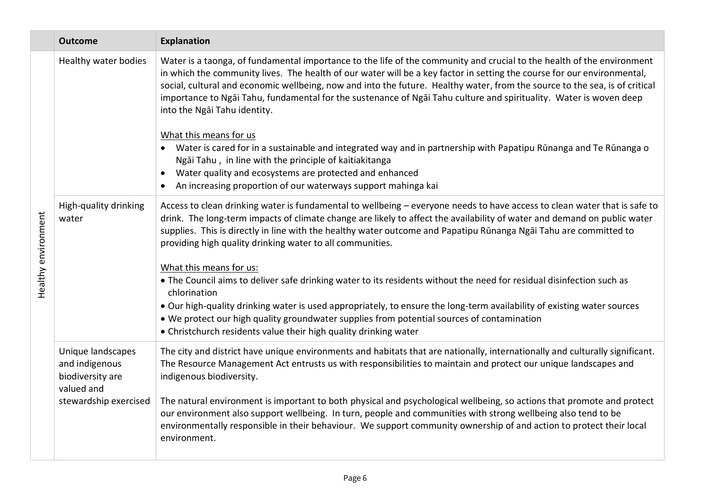|                     | <b>Outcome</b>                                                                                 | <b>Explanation</b>                                                                                                                                                                                                                                                                                                                                                                                                                                                                                                                                                                                                                                                                                                                                                                                                                                                                                       |
|---------------------|------------------------------------------------------------------------------------------------|----------------------------------------------------------------------------------------------------------------------------------------------------------------------------------------------------------------------------------------------------------------------------------------------------------------------------------------------------------------------------------------------------------------------------------------------------------------------------------------------------------------------------------------------------------------------------------------------------------------------------------------------------------------------------------------------------------------------------------------------------------------------------------------------------------------------------------------------------------------------------------------------------------|
| Healthy environment | Healthy water bodies                                                                           | Water is a taonga, of fundamental importance to the life of the community and crucial to the health of the environment<br>in which the community lives. The health of our water will be a key factor in setting the course for our environmental,<br>social, cultural and economic wellbeing, now and into the future. Healthy water, from the source to the sea, is of critical<br>importance to Ngāi Tahu, fundamental for the sustenance of Ngāi Tahu culture and spirituality. Water is woven deep<br>into the Ngai Tahu identity.<br>What this means for us<br>Water is cared for in a sustainable and integrated way and in partnership with Papatipu Rūnanga and Te Rūnanga o<br>Ngāi Tahu, in line with the principle of kaitiakitanga<br>Water quality and ecosystems are protected and enhanced<br>An increasing proportion of our waterways support mahinga kai                               |
|                     | High-quality drinking<br>water                                                                 | Access to clean drinking water is fundamental to wellbeing - everyone needs to have access to clean water that is safe to<br>drink. The long-term impacts of climate change are likely to affect the availability of water and demand on public water<br>supplies. This is directly in line with the healthy water outcome and Papatipu Rūnanga Ngāi Tahu are committed to<br>providing high quality drinking water to all communities.<br>What this means for us:<br>. The Council aims to deliver safe drinking water to its residents without the need for residual disinfection such as<br>chlorination<br>• Our high-quality drinking water is used appropriately, to ensure the long-term availability of existing water sources<br>• We protect our high quality groundwater supplies from potential sources of contamination<br>• Christchurch residents value their high quality drinking water |
|                     | Unique landscapes<br>and indigenous<br>biodiversity are<br>valued and<br>stewardship exercised | The city and district have unique environments and habitats that are nationally, internationally and culturally significant.<br>The Resource Management Act entrusts us with responsibilities to maintain and protect our unique landscapes and<br>indigenous biodiversity.<br>The natural environment is important to both physical and psychological wellbeing, so actions that promote and protect<br>our environment also support wellbeing. In turn, people and communities with strong wellbeing also tend to be<br>environmentally responsible in their behaviour. We support community ownership of and action to protect their local<br>environment.                                                                                                                                                                                                                                            |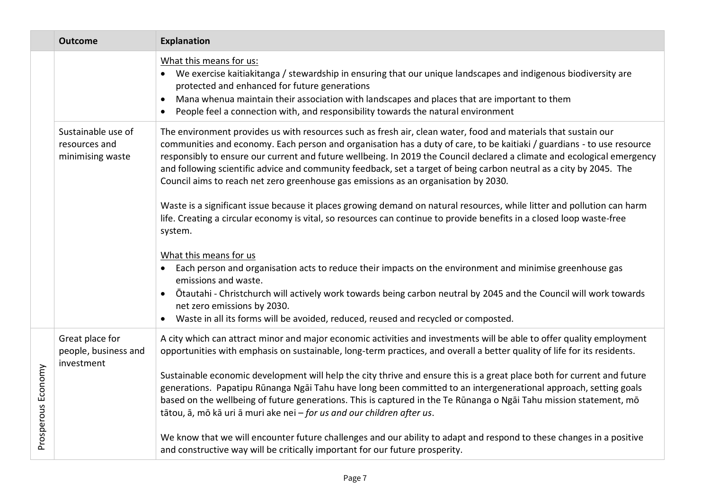|                    | <b>Outcome</b>                                          | <b>Explanation</b>                                                                                                                                                                                                                                                                                                                                                                                                                                                                                                                                                                |
|--------------------|---------------------------------------------------------|-----------------------------------------------------------------------------------------------------------------------------------------------------------------------------------------------------------------------------------------------------------------------------------------------------------------------------------------------------------------------------------------------------------------------------------------------------------------------------------------------------------------------------------------------------------------------------------|
|                    |                                                         | What this means for us:<br>• We exercise kaitiakitanga / stewardship in ensuring that our unique landscapes and indigenous biodiversity are<br>protected and enhanced for future generations<br>Mana whenua maintain their association with landscapes and places that are important to them<br>People feel a connection with, and responsibility towards the natural environment                                                                                                                                                                                                 |
|                    | Sustainable use of<br>resources and<br>minimising waste | The environment provides us with resources such as fresh air, clean water, food and materials that sustain our<br>communities and economy. Each person and organisation has a duty of care, to be kaitiaki / guardians - to use resource<br>responsibly to ensure our current and future wellbeing. In 2019 the Council declared a climate and ecological emergency<br>and following scientific advice and community feedback, set a target of being carbon neutral as a city by 2045. The<br>Council aims to reach net zero greenhouse gas emissions as an organisation by 2030. |
|                    |                                                         | Waste is a significant issue because it places growing demand on natural resources, while litter and pollution can harm<br>life. Creating a circular economy is vital, so resources can continue to provide benefits in a closed loop waste-free<br>system.<br>What this means for us<br>Each person and organisation acts to reduce their impacts on the environment and minimise greenhouse gas<br>emissions and waste.<br>Otautahi - Christchurch will actively work towards being carbon neutral by 2045 and the Council will work towards<br>net zero emissions by 2030.     |
|                    |                                                         | Waste in all its forms will be avoided, reduced, reused and recycled or composted.                                                                                                                                                                                                                                                                                                                                                                                                                                                                                                |
|                    | Great place for<br>people, business and<br>investment   | A city which can attract minor and major economic activities and investments will be able to offer quality employment<br>opportunities with emphasis on sustainable, long-term practices, and overall a better quality of life for its residents.                                                                                                                                                                                                                                                                                                                                 |
| Prosperous Economy |                                                         | Sustainable economic development will help the city thrive and ensure this is a great place both for current and future<br>generations. Papatipu Rūnanga Ngāi Tahu have long been committed to an intergenerational approach, setting goals<br>based on the wellbeing of future generations. This is captured in the Te Rūnanga o Ngāi Tahu mission statement, mō<br>tātou, ā, mō kā uri ā muri ake nei - for us and our children after us.                                                                                                                                       |
|                    |                                                         | We know that we will encounter future challenges and our ability to adapt and respond to these changes in a positive<br>and constructive way will be critically important for our future prosperity.                                                                                                                                                                                                                                                                                                                                                                              |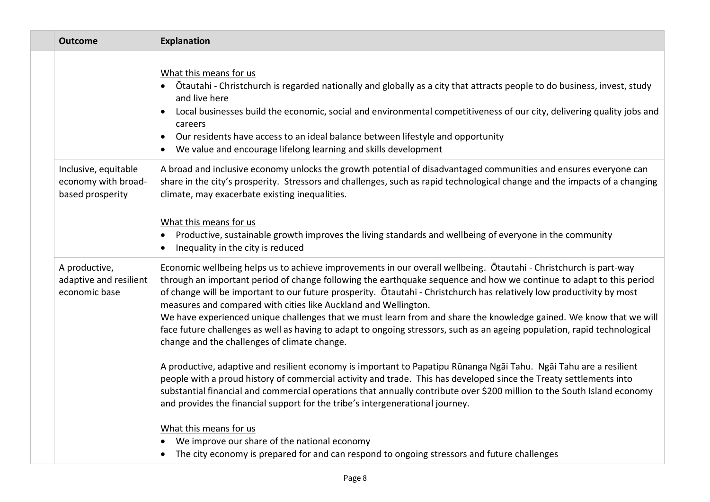| <b>Outcome</b>                                                  | <b>Explanation</b>                                                                                                                                                                                                                                                                                                                                                                                                                                                                                                                                                                                                                                                                                                                                                                                                                                                                                                                                                                                                                                                                                                                                                                                                                                                                                                                                                                    |
|-----------------------------------------------------------------|---------------------------------------------------------------------------------------------------------------------------------------------------------------------------------------------------------------------------------------------------------------------------------------------------------------------------------------------------------------------------------------------------------------------------------------------------------------------------------------------------------------------------------------------------------------------------------------------------------------------------------------------------------------------------------------------------------------------------------------------------------------------------------------------------------------------------------------------------------------------------------------------------------------------------------------------------------------------------------------------------------------------------------------------------------------------------------------------------------------------------------------------------------------------------------------------------------------------------------------------------------------------------------------------------------------------------------------------------------------------------------------|
|                                                                 | What this means for us<br>Ōtautahi - Christchurch is regarded nationally and globally as a city that attracts people to do business, invest, study<br>and live here<br>Local businesses build the economic, social and environmental competitiveness of our city, delivering quality jobs and<br>careers<br>Our residents have access to an ideal balance between lifestyle and opportunity<br>$\bullet$<br>We value and encourage lifelong learning and skills development                                                                                                                                                                                                                                                                                                                                                                                                                                                                                                                                                                                                                                                                                                                                                                                                                                                                                                           |
| Inclusive, equitable<br>economy with broad-<br>based prosperity | A broad and inclusive economy unlocks the growth potential of disadvantaged communities and ensures everyone can<br>share in the city's prosperity. Stressors and challenges, such as rapid technological change and the impacts of a changing<br>climate, may exacerbate existing inequalities.<br>What this means for us<br>Productive, sustainable growth improves the living standards and wellbeing of everyone in the community<br>Inequality in the city is reduced<br>$\bullet$                                                                                                                                                                                                                                                                                                                                                                                                                                                                                                                                                                                                                                                                                                                                                                                                                                                                                               |
| A productive,<br>adaptive and resilient<br>economic base        | Economic wellbeing helps us to achieve improvements in our overall wellbeing. Otautahi - Christchurch is part-way<br>through an important period of change following the earthquake sequence and how we continue to adapt to this period<br>of change will be important to our future prosperity. Otautahi - Christchurch has relatively low productivity by most<br>measures and compared with cities like Auckland and Wellington.<br>We have experienced unique challenges that we must learn from and share the knowledge gained. We know that we will<br>face future challenges as well as having to adapt to ongoing stressors, such as an ageing population, rapid technological<br>change and the challenges of climate change.<br>A productive, adaptive and resilient economy is important to Papatipu Rūnanga Ngāi Tahu. Ngāi Tahu are a resilient<br>people with a proud history of commercial activity and trade. This has developed since the Treaty settlements into<br>substantial financial and commercial operations that annually contribute over \$200 million to the South Island economy<br>and provides the financial support for the tribe's intergenerational journey.<br>What this means for us<br>We improve our share of the national economy<br>The city economy is prepared for and can respond to ongoing stressors and future challenges<br>$\bullet$ |